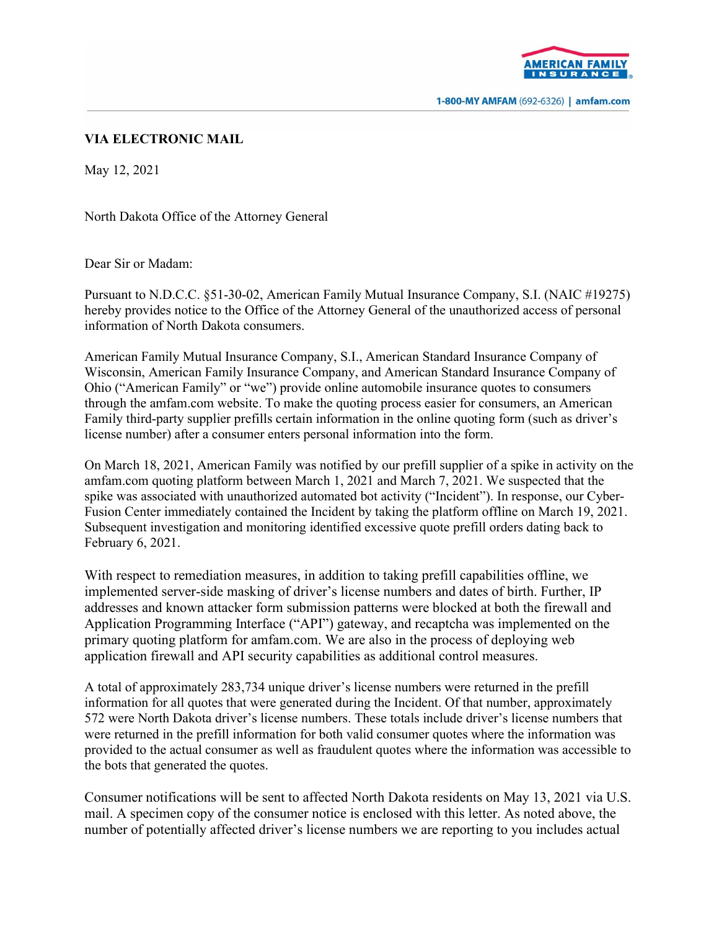

1-800-MY AMFAM (692-6326) | amfam.com

## **VIA ELECTRONIC MAIL**

May 12, 2021

North Dakota Office of the Attorney General

Dear Sir or Madam:

Pursuant to N.D.C.C. §51-30-02, American Family Mutual Insurance Company, S.I. (NAIC #19275) hereby provides notice to the Office of the Attorney General of the unauthorized access of personal information of North Dakota consumers.

American Family Mutual Insurance Company, S.I., American Standard Insurance Company of Wisconsin, American Family Insurance Company, and American Standard Insurance Company of Ohio ("American Family" or "we") provide online automobile insurance quotes to consumers through the amfam.com website. To make the quoting process easier for consumers, an American Family third-party supplier prefills certain information in the online quoting form (such as driver's license number) after a consumer enters personal information into the form.

On March 18, 2021, American Family was notified by our prefill supplier of a spike in activity on the amfam.com quoting platform between March 1, 2021 and March 7, 2021. We suspected that the spike was associated with unauthorized automated bot activity ("Incident"). In response, our Cyber-Fusion Center immediately contained the Incident by taking the platform offline on March 19, 2021. Subsequent investigation and monitoring identified excessive quote prefill orders dating back to February 6, 2021.

With respect to remediation measures, in addition to taking prefill capabilities offline, we implemented server-side masking of driver's license numbers and dates of birth. Further, IP addresses and known attacker form submission patterns were blocked at both the firewall and Application Programming Interface ("API") gateway, and recaptcha was implemented on the primary quoting platform for amfam.com. We are also in the process of deploying web application firewall and API security capabilities as additional control measures.

A total of approximately 283,734 unique driver's license numbers were returned in the prefill information for all quotes that were generated during the Incident. Of that number, approximately 572 were North Dakota driver's license numbers. These totals include driver's license numbers that were returned in the prefill information for both valid consumer quotes where the information was provided to the actual consumer as well as fraudulent quotes where the information was accessible to the bots that generated the quotes.

Consumer notifications will be sent to affected North Dakota residents on May 13, 2021 via U.S. mail. A specimen copy of the consumer notice is enclosed with this letter. As noted above, the number of potentially affected driver's license numbers we are reporting to you includes actual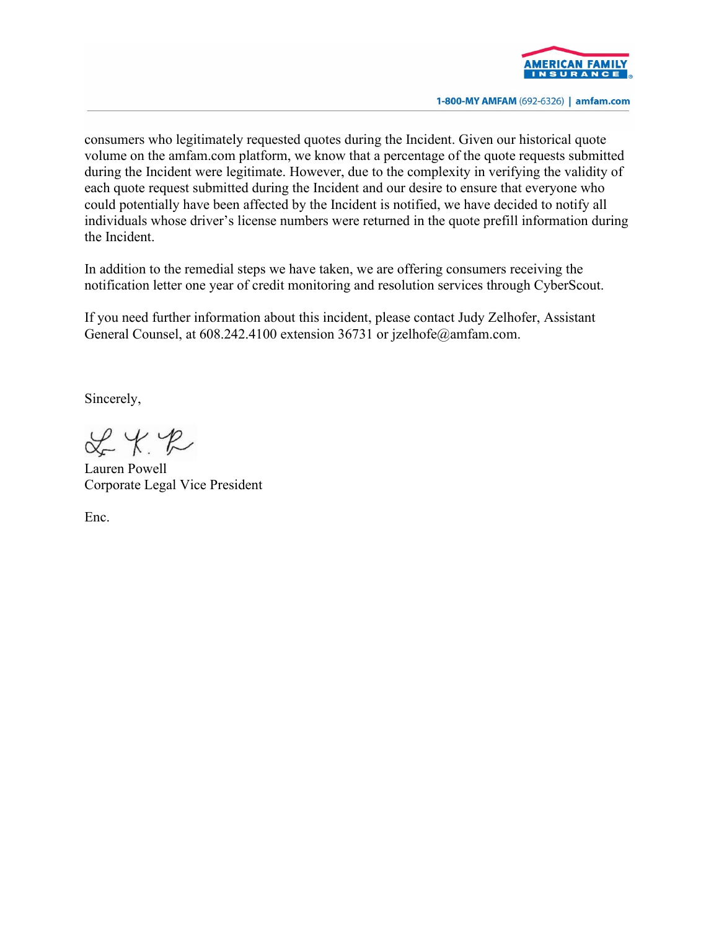

1-800-MY AMFAM (692-6326) | amfam.com

consumers who legitimately requested quotes during the Incident. Given our historical quote volume on the amfam.com platform, we know that a percentage of the quote requests submitted during the Incident were legitimate. However, due to the complexity in verifying the validity of each quote request submitted during the Incident and our desire to ensure that everyone who could potentially have been affected by the Incident is notified, we have decided to notify all individuals whose driver's license numbers were returned in the quote prefill information during the Incident.

In addition to the remedial steps we have taken, we are offering consumers receiving the notification letter one year of credit monitoring and resolution services through CyberScout.

If you need further information about this incident, please contact Judy Zelhofer, Assistant General Counsel, at 608.242.4100 extension 36731 or jzelhofe@amfam.com.

Sincerely,

 $x + x$ 

Lauren Powell Corporate Legal Vice President

Enc.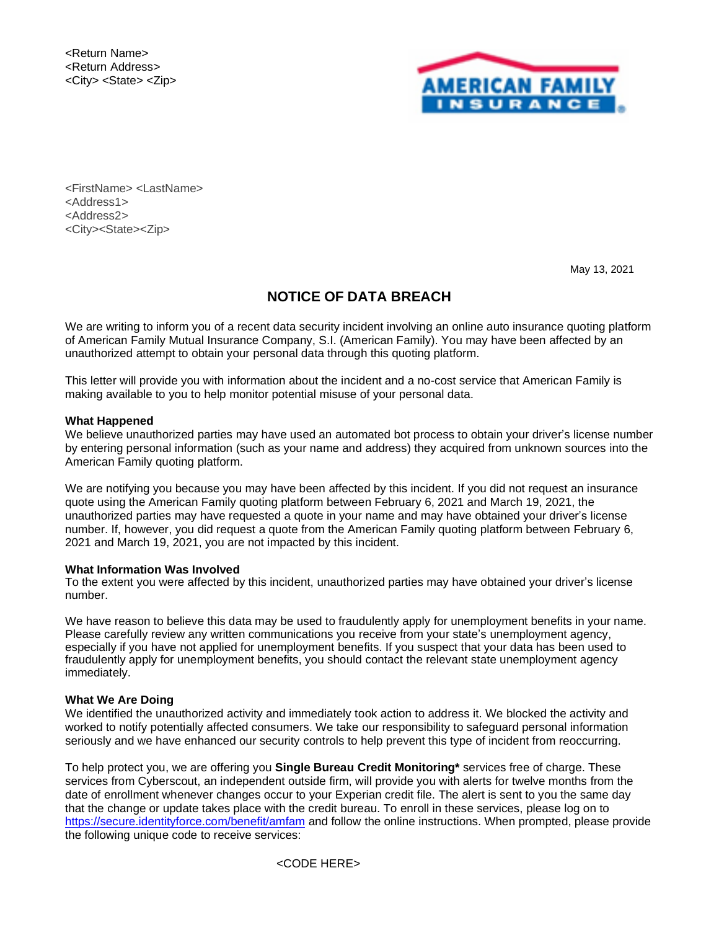<Return Name> <Return Address> <City> <State> <Zip>



<FirstName> <LastName> <Address1> <Address2> <City><State><Zip>

May 13, 2021

## **NOTICE OF DATA BREACH**

We are writing to inform you of a recent data security incident involving an online auto insurance quoting platform of American Family Mutual Insurance Company, S.I. (American Family). You may have been affected by an unauthorized attempt to obtain your personal data through this quoting platform.

This letter will provide you with information about the incident and a no-cost service that American Family is making available to you to help monitor potential misuse of your personal data.

#### **What Happened**

We believe unauthorized parties may have used an automated bot process to obtain your driver's license number by entering personal information (such as your name and address) they acquired from unknown sources into the American Family quoting platform.

We are notifying you because you may have been affected by this incident. If you did not request an insurance quote using the American Family quoting platform between February 6, 2021 and March 19, 2021, the unauthorized parties may have requested a quote in your name and may have obtained your driver's license number. If, however, you did request a quote from the American Family quoting platform between February 6, 2021 and March 19, 2021, you are not impacted by this incident.

#### **What Information Was Involved**

To the extent you were affected by this incident, unauthorized parties may have obtained your driver's license number.

We have reason to believe this data may be used to fraudulently apply for unemployment benefits in your name. Please carefully review any written communications you receive from your state's unemployment agency, especially if you have not applied for unemployment benefits. If you suspect that your data has been used to fraudulently apply for unemployment benefits, you should contact the relevant state unemployment agency immediately.

#### **What We Are Doing**

We identified the unauthorized activity and immediately took action to address it. We blocked the activity and worked to notify potentially affected consumers. We take our responsibility to safeguard personal information seriously and we have enhanced our security controls to help prevent this type of incident from reoccurring.

To help protect you, we are offering you **Single Bureau Credit Monitoring\*** services free of charge. These services from Cyberscout, an independent outside firm, will provide you with alerts for twelve months from the date of enrollment whenever changes occur to your Experian credit file. The alert is sent to you the same day that the change or update takes place with the credit bureau. To enroll in these services, please log on to <https://secure.identityforce.com/benefit/amfam> and follow the online instructions. When prompted, please provide the following unique code to receive services:

<CODE HERE>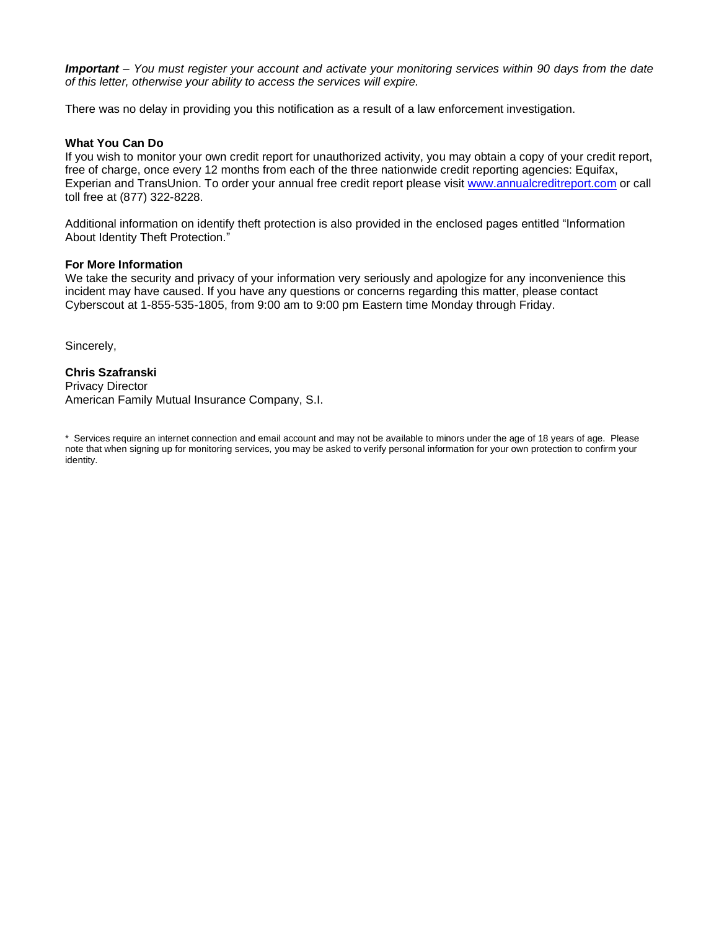*Important – You must register your account and activate your monitoring services within 90 days from the date of this letter, otherwise your ability to access the services will expire.*

There was no delay in providing you this notification as a result of a law enforcement investigation.

#### **What You Can Do**

If you wish to monitor your own credit report for unauthorized activity, you may obtain a copy of your credit report, free of charge, once every 12 months from each of the three nationwide credit reporting agencies: Equifax, Experian and TransUnion. To order your annual free credit report please visit [www.annualcreditreport.com](http://www.annualcreditreport.com/) or call toll free at (877) 322-8228.

Additional information on identify theft protection is also provided in the enclosed pages entitled "Information About Identity Theft Protection."

#### **For More Information**

We take the security and privacy of your information very seriously and apologize for any inconvenience this incident may have caused. If you have any questions or concerns regarding this matter, please contact Cyberscout at 1-855-535-1805, from 9:00 am to 9:00 pm Eastern time Monday through Friday.

Sincerely,

**Chris Szafranski** Privacy Director American Family Mutual Insurance Company, S.I.

\* Services require an internet connection and email account and may not be available to minors under the age of 18 years of age. Please note that when signing up for monitoring services, you may be asked to verify personal information for your own protection to confirm your identity.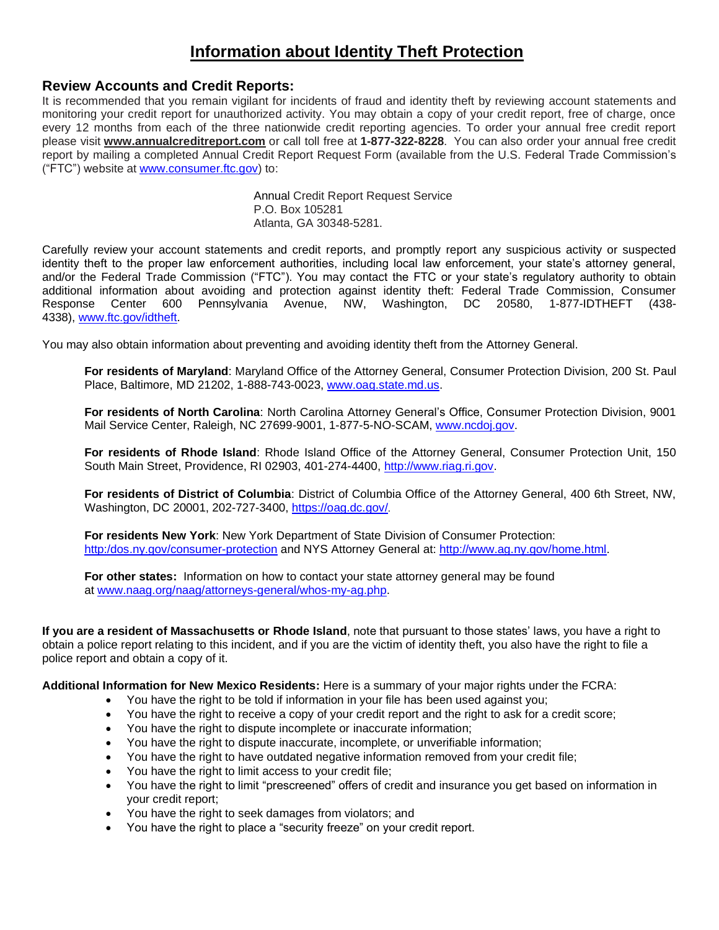# **Information about Identity Theft Protection**

## **Review Accounts and Credit Reports:**

It is recommended that you remain vigilant for incidents of fraud and identity theft by reviewing account statements and monitoring your credit report for unauthorized activity. You may obtain a copy of your credit report, free of charge, once every 12 months from each of the three nationwide credit reporting agencies. To order your annual free credit report please visit **[www.annualcreditreport.com](http://www.annualcreditreport.com/)** or call toll free at **1-877-322-8228**. You can also order your annual free credit report by mailing a completed Annual Credit Report Request Form (available from the U.S. Federal Trade Commission's ("FTC") website at [www.consumer.ftc.gov\)](http://www.consumer.ftc.gov/) to:

> Annual Credit Report Request Service P.O. Box 105281 Atlanta, GA 30348-5281.

Carefully review your account statements and credit reports, and promptly report any suspicious activity or suspected identity theft to the proper law enforcement authorities, including local law enforcement, your state's attorney general, and/or the Federal Trade Commission ("FTC"). You may contact the FTC or your state's regulatory authority to obtain additional information about avoiding and protection against identity theft: Federal Trade Commission, Consumer Response Center 600 Pennsylvania Avenue, NW, Washington, DC 20580, 1-877-IDTHEFT (438- 4338), [www.ftc.gov/idtheft.](http://www.ftc.gov/idtheft)

You may also obtain information about preventing and avoiding identity theft from the Attorney General.

**For residents of Maryland**: Maryland Office of the Attorney General, Consumer Protection Division, 200 St. Paul Place, Baltimore, MD 21202, 1-888-743-0023, [www.oag.state.md.us.](http://www.oag.state.md.us/)

**For residents of North Carolina**: North Carolina Attorney General's Office, Consumer Protection Division, 9001 Mail Service Center, Raleigh, NC 27699-9001, 1-877-5-NO-SCAM, [www.ncdoj.gov.](http://www.ncdoj.gov/)

**For residents of Rhode Island**: Rhode Island Office of the Attorney General, Consumer Protection Unit, 150 South Main Street, Providence, RI 02903, 401-274-4400, [http://www.riag.ri.gov.](http://www.riag.ri.gov/)

**For residents of District of Columbia**: District of Columbia Office of the Attorney General, 400 6th Street, NW, Washington, DC 20001, 202-727-3400, <https://oag.dc.gov/>.

**For residents New York**: New York Department of State Division of Consumer Protection: [http:/dos.ny.gov/consumer-protection](https://dos.ny.gov/consumer-protection) and NYS Attorney General at: [http://www.ag.ny.gov/home.html.](http://www.ag.ny.gov/home.html)

**For other states:** Information on how to contact your state attorney general may be found at [www.naag.org/naag/attorneys-general/whos-my-ag.php.](http://www.naag.org/naag/attorneys-general/whos-my-ag.php)

**If you are a resident of Massachusetts or Rhode Island**, note that pursuant to those states' laws, you have a right to obtain a police report relating to this incident, and if you are the victim of identity theft, you also have the right to file a police report and obtain a copy of it.

**Additional Information for New Mexico Residents:** Here is a summary of your major rights under the FCRA:

- You have the right to be told if information in your file has been used against you;
- You have the right to receive a copy of your credit report and the right to ask for a credit score;
- You have the right to dispute incomplete or inaccurate information;
- You have the right to dispute inaccurate, incomplete, or unverifiable information;
- You have the right to have outdated negative information removed from your credit file;
- You have the right to limit access to your credit file;
- You have the right to limit "prescreened" offers of credit and insurance you get based on information in your credit report;
- You have the right to seek damages from violators; and
- You have the right to place a "security freeze" on your credit report.